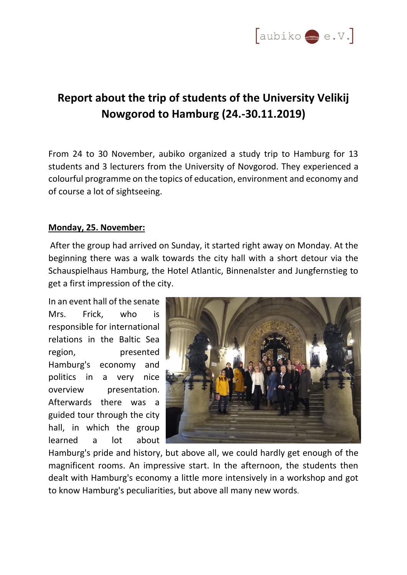

# **Report about the trip of students of the University Velikij Nowgorod to Hamburg (24.-30.11.2019)**

From 24 to 30 November, aubiko organized a study trip to Hamburg for 13 students and 3 lecturers from the University of Novgorod. They experienced a colourful programme on the topics of education, environment and economy and of course a lot of sightseeing.

# **Monday, 25. November:**

After the group had arrived on Sunday, it started right away on Monday. At the beginning there was a walk towards the city hall with a short detour via the Schauspielhaus Hamburg, the Hotel Atlantic, Binnenalster and Jungfernstieg to get a first impression of the city.

In an event hall of the senate Mrs. Frick, who is responsible for international relations in the Baltic Sea region, presented Hamburg's economy and politics in a very nice overview presentation. Afterwards there was a guided tour through the city hall, in which the group learned a lot about



Hamburg's pride and history, but above all, we could hardly get enough of the magnificent rooms. An impressive start. In the afternoon, the students then dealt with Hamburg's economy a little more intensively in a workshop and got to know Hamburg's peculiarities, but above all many new words.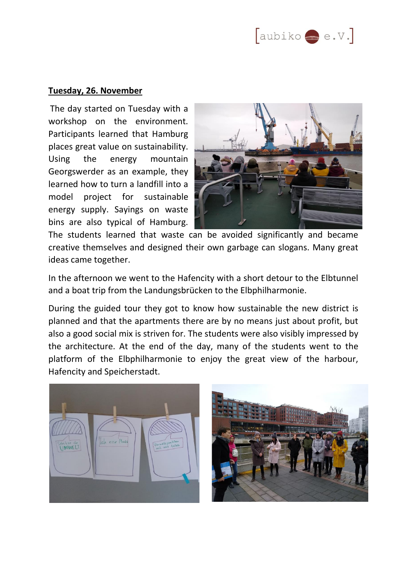## **Tuesday, 26. November**

The day started on Tuesday with a workshop on the environment. Participants learned that Hamburg places great value on sustainability. Using the energy mountain Georgswerder as an example, they learned how to turn a landfill into a model project for sustainable energy supply. Sayings on waste bins are also typical of Hamburg.



The students learned that waste can be avoided significantly and became creative themselves and designed their own garbage can slogans. Many great ideas came together.

In the afternoon we went to the Hafencity with a short detour to the Elbtunnel and a boat trip from the Landungsbrücken to the Elbphilharmonie.

During the guided tour they got to know how sustainable the new district is planned and that the apartments there are by no means just about profit, but also a good social mix is striven for. The students were also visibly impressed by the architecture. At the end of the day, many of the students went to the platform of the Elbphilharmonie to enjoy the great view of the harbour, Hafencity and Speicherstadt.



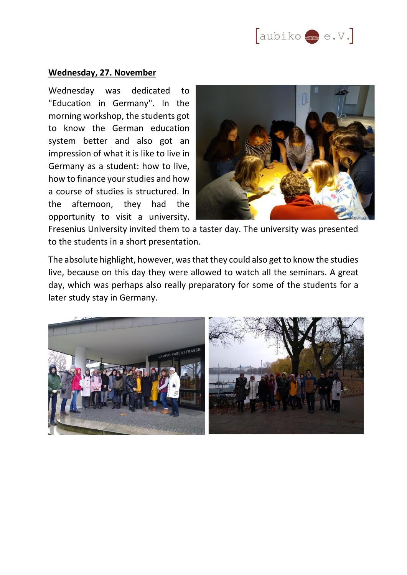

#### **Wednesday, 27. November**

Wednesday was dedicated to "Education in Germany". In the morning workshop, the students got to know the German education system better and also got an impression of what it is like to live in Germany as a student: how to live, how to finance your studies and how a course of studies is structured. In the afternoon, they had the opportunity to visit a university.



Fresenius University invited them to a taster day. The university was presented to the students in a short presentation.

The absolute highlight, however, was that they could also get to know the studies live, because on this day they were allowed to watch all the seminars. A great day, which was perhaps also really preparatory for some of the students for a later study stay in Germany.

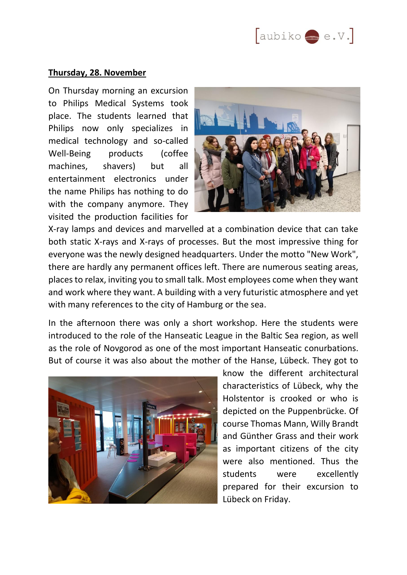## **Thursday, 28. November**

On Thursday morning an excursion to Philips Medical Systems took place. The students learned that Philips now only specializes in medical technology and so-called Well-Being products (coffee machines, shavers) but all entertainment electronics under the name Philips has nothing to do with the company anymore. They visited the production facilities for



X-ray lamps and devices and marvelled at a combination device that can take both static X-rays and X-rays of processes. But the most impressive thing for everyone was the newly designed headquarters. Under the motto "New Work", there are hardly any permanent offices left. There are numerous seating areas, places to relax, inviting you to small talk. Most employees come when they want and work where they want. A building with a very futuristic atmosphere and yet with many references to the city of Hamburg or the sea.

In the afternoon there was only a short workshop. Here the students were introduced to the role of the Hanseatic League in the Baltic Sea region, as well as the role of Novgorod as one of the most important Hanseatic conurbations. But of course it was also about the mother of the Hanse, Lübeck. They got to



know the different architectural characteristics of Lübeck, why the Holstentor is crooked or who is depicted on the Puppenbrücke. Of course Thomas Mann, Willy Brandt and Günther Grass and their work as important citizens of the city were also mentioned. Thus the students were excellently prepared for their excursion to Lübeck on Friday.